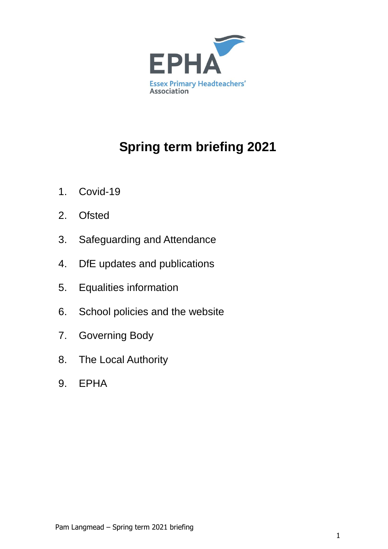

# **Spring term briefing 2021**

- 1. Covid-19
- 2. Ofsted
- 3. Safeguarding and Attendance
- 4. DfE updates and publications
- 5. Equalities information
- 6. School policies and the website
- 7. Governing Body
- 8. The Local Authority
- 9. EPHA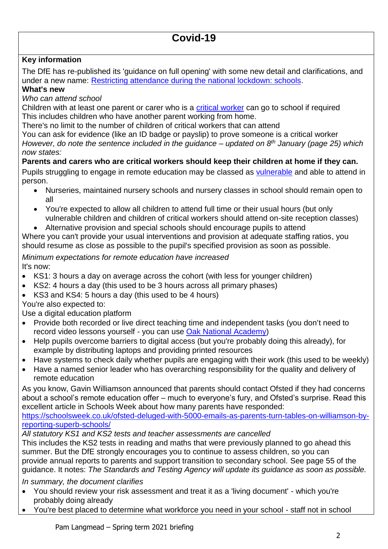## **Key information**

The DfE has re-published its 'guidance on full opening' with some new detail and clarifications, and under a new name: [Restricting attendance during the national lockdown: schools.](https://www.gov.uk/government/publications/actions-for-schools-during-the-coronavirus-outbreak#A)

## **What's new**

*Who can attend school*

Children with at least one parent or carer who is a [critical worker](https://www.gov.uk/government/publications/coronavirus-covid-19-maintaining-educational-provision) can go to school if required This includes children who have another parent working from home.

There's no limit to the number of children of critical workers that can attend

You can ask for evidence (like an ID badge or payslip) to prove someone is a critical worker *However, do note the sentence included in the guidance – updated on 8th January (page 25) which now states:*

**Parents and carers who are critical workers should keep their children at home if they can.** Pupils struggling to engage in remote education may be classed as [vulnerable](https://www.gov.uk/government/publications/coronavirus-covid-19-maintaining-educational-provision) and able to attend in person.

- Nurseries, maintained nursery schools and nursery classes in school should remain open to all
- You're expected to allow all children to attend full time or their usual hours (but only vulnerable children and children of critical workers should attend on-site reception classes)
- Alternative provision and special schools should encourage pupils to attend

Where you can't provide your usual interventions and provision at adequate staffing ratios, you should resume as close as possible to the pupil's specified provision as soon as possible.

#### *Minimum expectations for remote education have increased* It's now:

- KS1: 3 hours a day on average across the cohort (with less for younger children)
- KS2: 4 hours a day (this used to be 3 hours across all primary phases)
- KS3 and KS4: 5 hours a day (this used to be 4 hours)

You're also expected to:

Use a digital education platform

- Provide both recorded or live direct teaching time and independent tasks (you don't need to record video lessons yourself - you can use [Oak National Academy\)](https://www.thenational.academy/)
- Help pupils overcome barriers to digital access (but you're probably doing this already), for example by distributing laptops and providing printed resources
- Have systems to check daily whether pupils are engaging with their work (this used to be weekly)
- Have a named senior leader who has overarching responsibility for the quality and delivery of remote education

As you know, Gavin Williamson announced that parents should contact Ofsted if they had concerns about a school's remote education offer – much to everyone's fury, and Ofsted's surprise. Read this excellent article in Schools Week about how many parents have responded:

[https://schoolsweek.co.uk/ofsted-deluged-with-5000-emails-as-parents-turn-tables-on-williamson-by](https://schoolsweek.co.uk/ofsted-deluged-with-5000-emails-as-parents-turn-tables-on-williamson-by-reporting-superb-schools/)[reporting-superb-schools/](https://schoolsweek.co.uk/ofsted-deluged-with-5000-emails-as-parents-turn-tables-on-williamson-by-reporting-superb-schools/)

*All statutory KS1 and KS2 tests and teacher assessments are cancelled*

This includes the KS2 tests in reading and maths that were previously planned to go ahead this summer. But the DfE strongly encourages you to continue to assess children, so you can provide annual reports to parents and support transition to secondary school. See page 55 of the guidance. It notes: *The Standards and Testing Agency will update its guidance as soon as possible.*

*In summary, the document clarifies*

- You should review your risk assessment and treat it as a 'living document' which you're probably doing already
- You're best placed to determine what workforce you need in your school staff not in school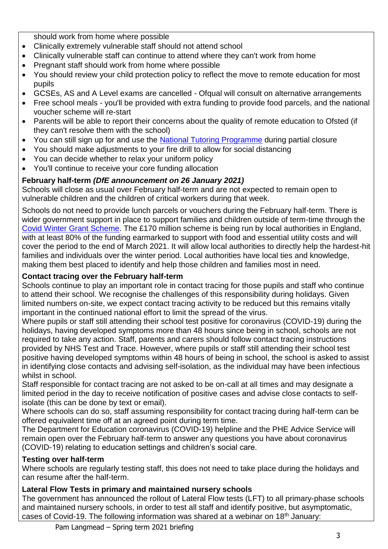should work from home where possible

- Clinically extremely vulnerable staff should not attend school
- Clinically vulnerable staff can continue to attend where they can't work from home
- Pregnant staff should work from home where possible
- You should review your child protection policy to reflect the move to remote education for most pupils
- GCSEs, AS and A Level exams are cancelled Ofqual will consult on alternative arrangements
- Free school meals you'll be provided with extra funding to provide food parcels, and the national voucher scheme will re-start
- Parents will be able to report their concerns about the quality of remote education to Ofsted (if they can't resolve them with the school)
- You can still sign up for and use the [National Tutoring Programme](https://nationaltutoring.org.uk/) during partial closure
- You should make adjustments to your fire drill to allow for social distancing
- You can decide whether to relax your uniform policy
- You'll continue to receive your core funding allocation

## **February half-term** *(DfE announcement on 26 January 2021)*

Schools will close as usual over February half-term and are not expected to remain open to vulnerable children and the children of critical workers during that week.

Schools do not need to provide lunch parcels or vouchers during the February half-term. There is wider government support in place to support families and children outside of term-time through the [Covid Winter Grant Scheme.](https://www.gov.uk/government/publications/covid-19-free-school-meals-guidance/covid-19-free-school-meals-guidance-for-schools#support-for-families) The £170 million scheme is being run by local authorities in England, with at least 80% of the funding earmarked to support with food and essential utility costs and will cover the period to the end of March 2021. It will allow local authorities to directly help the hardest-hit families and individuals over the winter period. Local authorities have local ties and knowledge, making them best placed to identify and help those children and families most in need.

## **Contact tracing over the February half-term**

Schools continue to play an important role in contact tracing for those pupils and staff who continue to attend their school. We recognise the challenges of this responsibility during holidays. Given limited numbers on-site, we expect contact tracing activity to be reduced but this remains vitally important in the continued national effort to limit the spread of the virus.

Where pupils or staff still attending their school test positive for coronavirus (COVID-19) during the holidays, having developed symptoms more than 48 hours since being in school, schools are not required to take any action. Staff, parents and carers should follow contact tracing instructions provided by NHS Test and Trace. However, where pupils or staff still attending their school test positive having developed symptoms within 48 hours of being in school, the school is asked to assist in identifying close contacts and advising self-isolation, as the individual may have been infectious whilst in school.

Staff responsible for contact tracing are not asked to be on-call at all times and may designate a limited period in the day to receive notification of positive cases and advise close contacts to selfisolate (this can be done by text or email).

Where schools can do so, staff assuming responsibility for contact tracing during half-term can be offered equivalent time off at an agreed point during term time.

The Department for Education coronavirus (COVID-19) helpline and the PHE Advice Service will remain open over the February half-term to answer any questions you have about coronavirus (COVID-19) relating to education settings and children's social care.

## **Testing over half-term**

Where schools are regularly testing staff, this does not need to take place during the holidays and can resume after the half-term.

## **Lateral Flow Tests in primary and maintained nursery schools**

The government has announced the rollout of Lateral Flow tests (LFT) to all primary-phase schools and maintained nursery schools, in order to test all staff and identify positive, but asymptomatic, cases of Covid-19. The following information was shared at a webinar on 18<sup>th</sup> January: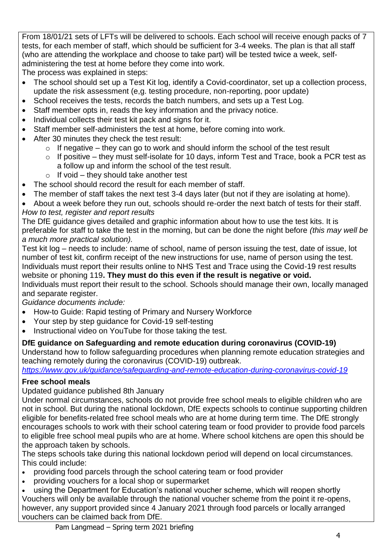From 18/01/21 sets of LFTs will be delivered to schools. Each school will receive enough packs of 7 tests, for each member of staff, which should be sufficient for 3-4 weeks. The plan is that all staff (who are attending the workplace and choose to take part) will be tested twice a week, selfadministering the test at home before they come into work.

The process was explained in steps:

- The school should set up a Test Kit log, identify a Covid-coordinator, set up a collection process, update the risk assessment (e,g. testing procedure, non-reporting, poor update)
- School receives the tests, records the batch numbers, and sets up a Test Log.
- Staff member opts in, reads the key information and the privacy notice.
- Individual collects their test kit pack and signs for it.
- Staff member self-administers the test at home, before coming into work.
- After 30 minutes they check the test result:
	- $\circ$  If negative they can go to work and should inform the school of the test result
	- $\circ$  If positive they must self-isolate for 10 days, inform Test and Trace, book a PCR test as a follow up and inform the school of the test result.
	- $\circ$  If void they should take another test
- The school should record the result for each member of staff.
- The member of staff takes the next test 3-4 days later (but not if they are isolating at home).

 About a week before they run out, schools should re-order the next batch of tests for their staff. *How to test, register and report results*

The DfE guidance gives detailed and graphic information about how to use the test kits. It is preferable for staff to take the test in the morning, but can be done the night before *(this may well be a much more practical solution).* 

Test kit log – needs to include: name of school, name of person issuing the test, date of issue, lot number of test kit, confirm receipt of the new instructions for use, name of person using the test. Individuals must report their results online to NHS Test and Trace using the Covid-19 rest results website or phoning 119**. They must do this even if the result is negative or void.**

Individuals must report their result to the school. Schools should manage their own, locally managed and separate register.

*Guidance documents include:*

- How-to Guide: Rapid testing of Primary and Nursery Workforce
- Your step by step guidance for Covid-19 self-testing
- Instructional video on YouTube for those taking the test.

## **DfE guidance on Safeguarding and remote education during coronavirus (COVID-19)**

Understand how to follow safeguarding procedures when planning remote education strategies and teaching remotely during the coronavirus (COVID-19) outbreak.

*<https://www.gov.uk/guidance/safeguarding-and-remote-education-during-coronavirus-covid-19>*

## **Free school meals**

Updated guidance published 8th January

Under normal circumstances, schools do not provide free school meals to eligible children who are not in school. But during the national lockdown, DfE expects schools to continue supporting children eligible for benefits-related free school meals who are at home during term time. The DfE strongly encourages schools to work with their school catering team or food provider to provide food parcels to eligible free school meal pupils who are at home. Where school kitchens are open this should be the approach taken by schools.

The steps schools take during this national lockdown period will depend on local circumstances. This could include:

- providing food parcels through the school catering team or food provider
- providing vouchers for a local shop or supermarket
- using the Department for Education's national voucher scheme, which will reopen shortly Vouchers will only be available through the national voucher scheme from the point it re-opens, however, any support provided since 4 January 2021 through food parcels or locally arranged vouchers can be claimed back from DfE.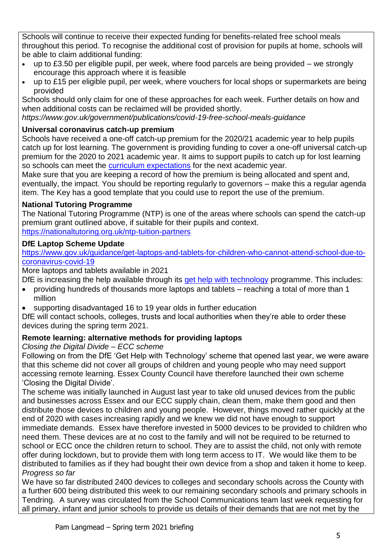Schools will continue to receive their expected funding for benefits-related free school meals throughout this period. To recognise the additional cost of provision for pupils at home, schools will be able to claim additional funding:

- $\bullet$  up to £3.50 per eligible pupil, per week, where food parcels are being provided we strongly encourage this approach where it is feasible
- up to £15 per eligible pupil, per week, where vouchers for local shops or supermarkets are being provided

Schools should only claim for one of these approaches for each week. Further details on how and when additional costs can be reclaimed will be provided shortly.

*https://www.gov.uk/government/publications/covid-19-free-school-meals-guidance*

## **Universal coronavirus catch-up premium**

Schools have received a one-off catch-up premium for the 2020/21 academic year to help pupils catch up for lost learning. The government is providing funding to cover a one-off universal catch-up premium for the 2020 to 2021 academic year. It aims to support pupils to catch up for lost learning so schools can meet the [curriculum expectations](https://www.gov.uk/government/publications/actions-for-schools-during-the-coronavirus-outbreak/guidance-for-full-opening-schools#section-3-curriculum-behaviour-and-pastoral-support) for the next academic year.

Make sure that you are keeping a record of how the premium is being allocated and spent and, eventually, the impact. You should be reporting regularly to governors – make this a regular agenda item. The Key has a good template that you could use to report the use of the premium.

## **National Tutoring Programme**

The National Tutoring Programme (NTP) is one of the areas where schools can spend the catch-up premium grant outlined above, if suitable for their pupils and context. <https://nationaltutoring.org.uk/ntp-tuition-partners>

## **DfE Laptop Scheme Update**

[https://www.gov.uk/guidance/get-laptops-and-tablets-for-children-who-cannot-attend-school-due-to](https://www.gov.uk/guidance/get-laptops-and-tablets-for-children-who-cannot-attend-school-due-to-coronavirus-covid-19)[coronavirus-covid-19](https://www.gov.uk/guidance/get-laptops-and-tablets-for-children-who-cannot-attend-school-due-to-coronavirus-covid-19)

More laptops and tablets available in 2021

DfE is increasing the help available through its [get help with technology](https://www.gov.uk/guidance/get-help-with-technology-for-remote-education-during-coronavirus-covid-19) programme. This includes:

- providing hundreds of thousands more laptops and tablets reaching a total of more than 1 million
- supporting disadvantaged 16 to 19 year olds in further education

DfE will contact schools, colleges, trusts and local authorities when they're able to order these devices during the spring term 2021.

## **Remote learning: alternative methods for providing laptops**

## *Closing the Digital Divide – ECC scheme*

Following on from the DfE 'Get Help with Technology' scheme that opened last year, we were aware that this scheme did not cover all groups of children and young people who may need support accessing remote learning. Essex County Council have therefore launched their own scheme 'Closing the Digital Divide'.

The scheme was initially launched in August last year to take old unused devices from the public and businesses across Essex and our ECC supply chain, clean them, make them good and then distribute those devices to children and young people. However, things moved rather quickly at the end of 2020 with cases increasing rapidly and we knew we did not have enough to support immediate demands. Essex have therefore invested in 5000 devices to be provided to children who need them. These devices are at no cost to the family and will not be required to be returned to school or ECC once the children return to school. They are to assist the child, not only with remote offer during lockdown, but to provide them with long term access to IT. We would like them to be distributed to families as if they had bought their own device from a shop and taken it home to keep. *Progress so far*

We have so far distributed 2400 devices to colleges and secondary schools across the County with a further 600 being distributed this week to our remaining secondary schools and primary schools in Tendring. A survey was circulated from the School Communications team last week requesting for all primary, infant and junior schools to provide us details of their demands that are not met by the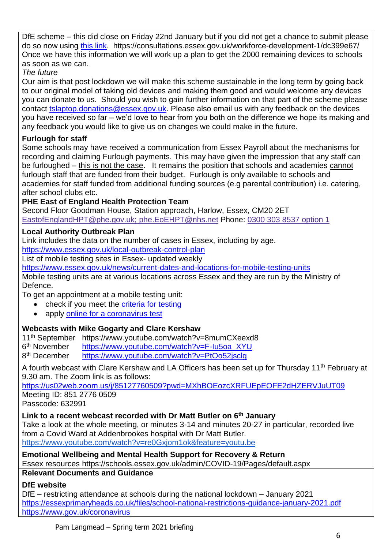DfE scheme – this did close on Friday 22nd January but if you did not get a chance to submit please do so now using [this link.](https://lnks.gd/l/eyJhbGciOiJIUzI1NiJ9.eyJidWxsZXRpbl9saW5rX2lkIjoxMDAsInVyaSI6ImJwMjpjbGljayIsImJ1bGxldGluX2lkIjoiMjAyMTAxMjUuMzM4ODg1NzEiLCJ1cmwiOiJodHRwczovL2NvbnN1bHRhdGlvbnMuZXNzZXguZ292LnVrL3dvcmtmb3JjZS1kZXZlbG9wbWVudC0xL2RjMzk5ZTY3In0.X6MUu-Z1i6wWcYgjsPO55rY1X85YL0idA2Lyg0rKObE/s/564077043/br/93555541740-l) https://consultations.essex.gov.uk/workforce-development-1/dc399e67/ Once we have this information we will work up a plan to get the 2000 remaining devices to schools as soon as we can.

*The future*

Our aim is that post lockdown we will make this scheme sustainable in the long term by going back to our original model of taking old devices and making them good and would welcome any devices you can donate to us. Should you wish to gain further information on that part of the scheme please contact [tslaptop.donations@essex.gov.uk.](mailto:tslaptop.donations@essex.gov.uk) Please also email us with any feedback on the devices you have received so far – we'd love to hear from you both on the difference we hope its making and any feedback you would like to give us on changes we could make in the future.

## **Furlough for staff**

Some schools may have received a communication from Essex Payroll about the mechanisms for recording and claiming Furlough payments. This may have given the impression that any staff can be furloughed – this is not the case. It remains the position that schools and academies cannot furlough staff that are funded from their budget. Furlough is only available to schools and academies for staff funded from additional funding sources (e.g parental contribution) i.e. catering, after school clubs etc.

## **PHE East of England Health Protection Team**

Second Floor Goodman House, Station approach, Harlow, Essex, CM20 2ET [EastofEnglandHPT@phe.gov.uk;](mailto:EastofEnglandHPT@phe.gov.uk;%20phe.EoEHPT@nhs.net) phe.EoEHPT@nhs.net Phone: 0300 303 8537 [option](tel://0300%20303%208537%20option%201/) 1

## **Local Authority Outbreak Plan**

Link includes the data on the number of cases in Essex, including by age.

<https://www.essex.gov.uk/local-outbreak-control-plan>

List of mobile testing sites in Essex- updated weekly

<https://www.essex.gov.uk/news/current-dates-and-locations-for-mobile-testing-units>

Mobile testing units are at various locations across Essex and they are run by the Ministry of Defence.

To get an appointment at a mobile testing unit:

- check if you meet the [criteria for testing](https://www.gov.uk/guidance/coronavirus-covid-19-getting-tested#who-can-be-tested)
- apply [online for a coronavirus test](https://www.gov.uk/apply-coronavirus-test)

## **Webcasts with Mike Gogarty and Clare Kershaw**

11th September https://www.youtube.com/watch?v=8mumCXeexd8

6<sup>th</sup> November [https://www.youtube.com/watch?v=F-Iu5oa\\_XYU](https://www.youtube.com/watch?v=F-Iu5oa_XYU)

8<sup>th</sup> December <https://www.youtube.com/watch?v=PtOo52jsclg>

A fourth webcast with Clare Kershaw and LA Officers has been set up for Thursday 11<sup>th</sup> February at 9.30 am. The Zoom link is as follows:

<https://us02web.zoom.us/j/85127760509?pwd=MXhBOEozcXRFUEpEOFE2dHZERVJuUT09> Meeting ID: 851 2776 0509

Passcode: 632991

## **Link to a recent webcast recorded with Dr Matt Butler on 6th January**

Take a look at the whole meeting, or minutes 3-14 and minutes 20-27 in particular, recorded live from a Covid Ward at Addenbrookes hospital with Dr Matt Butler. <https://www.youtube.com/watch?v=re0Gxjom1ok&feature=youtu.be>

**Emotional Wellbeing and Mental Health Support for Recovery & Return** 

Essex resources https://schools.essex.gov.uk/admin/COVID-19/Pages/default.aspx

## **Relevant Documents and Guidance**

## **DfE website**

DfE – restricting attendance at schools during the national lockdown – January 2021 <https://essexprimaryheads.co.uk/files/school-national-restrictions-guidance-january-2021.pdf> <https://www.gov.uk/coronavirus>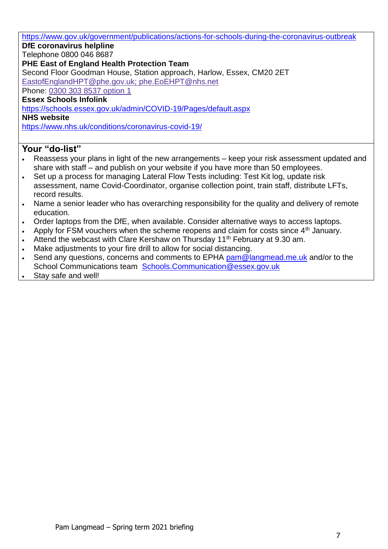<https://www.gov.uk/government/publications/actions-for-schools-during-the-coronavirus-outbreak> **DfE coronavirus helpline**  Telephone 0800 046 8687 **PHE East of England Health Protection Team** Second Floor Goodman House, Station approach, Harlow, Essex, CM20 2ET [EastofEnglandHPT@phe.gov.uk;](mailto:EastofEnglandHPT@phe.gov.uk;%20phe.EoEHPT@nhs.net) phe.EoEHPT@nhs.net Phone: 0300 303 8537 [option](tel://0300%20303%208537%20option%201/) 1 **Essex Schools Infolink** <https://schools.essex.gov.uk/admin/COVID-19/Pages/default.aspx> **NHS website** <https://www.nhs.uk/conditions/coronavirus-covid-19/>

- Reassess your plans in light of the new arrangements keep your risk assessment updated and share with staff – and publish on your website if you have more than 50 employees.
- Set up a process for managing Lateral Flow Tests including: Test Kit log, update risk assessment, name Covid-Coordinator, organise collection point, train staff, distribute LFTs, record results.
- Name a senior leader who has overarching responsibility for the quality and delivery of remote education.
- Order laptops from the DfE, when available. Consider alternative ways to access laptops.
- Apply for FSM vouchers when the scheme reopens and claim for costs since  $4<sup>th</sup>$  January.
- Attend the webcast with Clare Kershaw on Thursday 11<sup>th</sup> February at 9.30 am.
- Make adjustments to your fire drill to allow for social distancing.
- Send any questions, concerns and comments to EPHA [pam@langmead.me.uk](mailto:pam@langmead.me.uk) and/or to the School Communications team [Schools.Communication@essex.gov.uk](mailto:Schools.Communication@essex.gov.uk)
- Stay safe and well!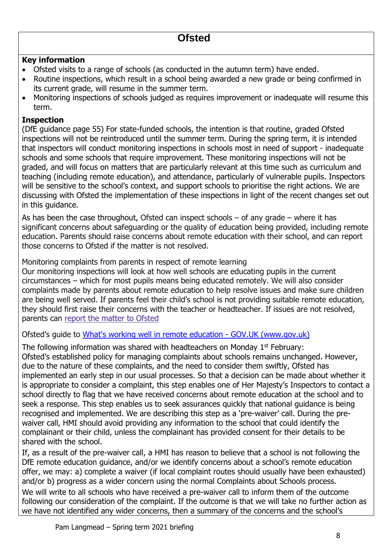## **Key information**

- Ofsted visits to a range of schools (as conducted in the autumn term) have ended.
- Routine inspections, which result in a school being awarded a new grade or being confirmed in its current grade, will resume in the summer term.
- Monitoring inspections of schools judged as requires improvement or inadequate will resume this term.

## **Inspection**

(DfE guidance page 55) For state-funded schools, the intention is that routine, graded Ofsted inspections will not be reintroduced until the summer term. During the spring term, it is intended that inspectors will conduct monitoring inspections in schools most in need of support - inadequate schools and some schools that require improvement. These monitoring inspections will not be graded, and will focus on matters that are particularly relevant at this time such as curriculum and teaching (including remote education), and attendance, particularly of vulnerable pupils. Inspectors will be sensitive to the school's context, and support schools to prioritise the right actions. We are discussing with Ofsted the implementation of these inspections in light of the recent changes set out in this guidance.

As has been the case throughout, Ofsted can inspect schools – of any grade – where it has significant concerns about safeguarding or the quality of education being provided, including remote education. Parents should raise concerns about remote education with their school, and can report those concerns to Ofsted if the matter is not resolved.

Monitoring complaints from parents in respect of remote learning

Our monitoring inspections will look at how well schools are educating pupils in the current circumstances – which for most pupils means being educated remotely. We will also consider complaints made by parents about remote education to help resolve issues and make sure children are being well served. If parents feel their child's school is not providing suitable remote education, they should first raise their concerns with the teacher or headteacher. If issues are not resolved, parents can report the [matter](https://contact.ofsted.gov.uk/online-complaints) to Ofsted

Ofsted's guide to [What's working well in remote education -](https://www.gov.uk/government/publications/whats-working-well-in-remote-education/whats-working-well-in-remote-education) GOV.UK (www.gov.uk)

The following information was shared with headteachers on Monday 1<sup>st</sup> February: Ofsted's established policy for managing complaints about schools remains unchanged. However, due to the nature of these complaints, and the need to consider them swiftly, Ofsted has implemented an early step in our usual processes. So that a decision can be made about whether it is appropriate to consider a complaint, this step enables one of Her Majesty's Inspectors to contact a school directly to flag that we have received concerns about remote education at the school and to seek a response. This step enables us to seek assurances quickly that national guidance is being recognised and implemented. We are describing this step as a 'pre-waiver' call. During the prewaiver call, HMI should avoid providing any information to the school that could identify the complainant or their child, unless the complainant has provided consent for their details to be shared with the school.

If, as a result of the pre-waiver call, a HMI has reason to believe that a school is not following the DfE remote education guidance, and/or we identify concerns about a school's remote education offer, we may: a) complete a waiver (if local complaint routes should usually have been exhausted) and/or b) progress as a wider concern using the normal Complaints about Schools process. We will write to all schools who have received a pre-waiver call to inform them of the outcome following our consideration of the complaint. If the outcome is that we will take no further action as we have not identified any wider concerns, then a summary of the concerns and the school's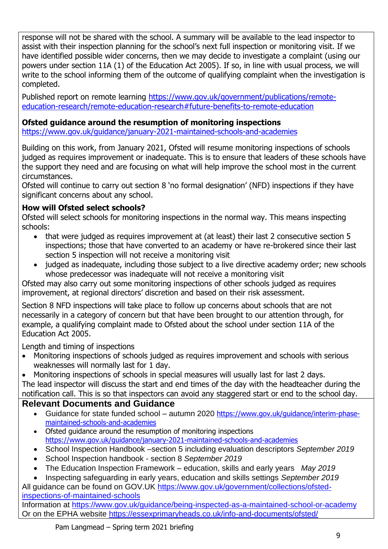response will not be shared with the school. A summary will be available to the lead inspector to assist with their inspection planning for the school's next full inspection or monitoring visit. If we have identified possible wider concerns, then we may decide to investigate a complaint (using our powers under section 11A (1) of the Education Act 2005). If so, in line with usual process, we will write to the school informing them of the outcome of qualifying complaint when the investigation is completed.

Published report on remote learning [https://www.gov.uk/government/publications/remote](https://www.gov.uk/government/publications/remote-education-research/remote-education-research#future-benefits-to-remote-education)[education-research/remote-education-research#future-benefits-to-remote-education](https://www.gov.uk/government/publications/remote-education-research/remote-education-research#future-benefits-to-remote-education)

## **Ofsted guidance around the resumption of monitoring inspections**

<https://www.gov.uk/guidance/january-2021-maintained-schools-and-academies>

Building on this work, from January 2021, Ofsted will resume monitoring inspections of schools judged as requires improvement or inadequate. This is to ensure that leaders of these schools have the support they need and are focusing on what will help improve the school most in the current circumstances.

Ofsted will continue to carry out section 8 'no formal designation' (NFD) inspections if they have significant concerns about any school.

## **How will Ofsted select schools?**

Ofsted will select schools for monitoring inspections in the normal way. This means inspecting schools:

- that were judged as requires improvement at (at least) their last 2 consecutive section 5 inspections; those that have converted to an academy or have re-brokered since their last section 5 inspection will not receive a monitoring visit
- judged as inadequate, including those subject to a live directive academy order; new schools whose predecessor was inadequate will not receive a monitoring visit

Ofsted may also carry out some monitoring inspections of other schools judged as requires improvement, at regional directors' discretion and based on their risk assessment.

Section 8 NFD inspections will take place to follow up concerns about schools that are not necessarily in a category of concern but that have been brought to our attention through, for example, a qualifying complaint made to Ofsted about the school under section 11A of the Education Act 2005.

Length and timing of inspections

- Monitoring inspections of schools judged as requires improvement and schools with serious weaknesses will normally last for 1 day.
- Monitoring inspections of schools in special measures will usually last for last 2 days.

The lead inspector will discuss the start and end times of the day with the headteacher during the notification call. This is so that inspectors can avoid any staggered start or end to the school day.

## **Relevant Documents and Guidance**

- Guidance for state funded school autumn 2020 [https://www.gov.uk/guidance/interim-phase](https://www.gov.uk/guidance/interim-phase-maintained-schools-and-academies)[maintained-schools-and-academies](https://www.gov.uk/guidance/interim-phase-maintained-schools-and-academies)
- Ofsted guidance around the resumption of monitoring inspections <https://www.gov.uk/guidance/january-2021-maintained-schools-and-academies>
- School Inspection Handbook –section 5 including evaluation descriptors *September 2019*
- School Inspection handbook section 8 *September 2019*
- The Education Inspection Framework education, skills and early years *May 2019*

 Inspecting safeguarding in early years, education and skills settings *September 2019* All guidance can be found on GOV.UK [https://www.gov.uk/government/collections/ofsted-](https://www.gov.uk/government/collections/ofsted-inspections-of-maintained-schools)

## [inspections-of-maintained-schools](https://www.gov.uk/government/collections/ofsted-inspections-of-maintained-schools)

Information at<https://www.gov.uk/guidance/being-inspected-as-a-maintained-school-or-academy> Or on the EPHA website<https://essexprimaryheads.co.uk/info-and-documents/ofsted/>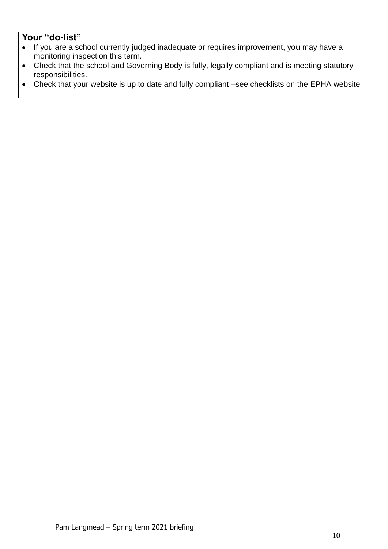- If you are a school currently judged inadequate or requires improvement, you may have a monitoring inspection this term.
- Check that the school and Governing Body is fully, legally compliant and is meeting statutory responsibilities.
- Check that your website is up to date and fully compliant –see checklists on the EPHA website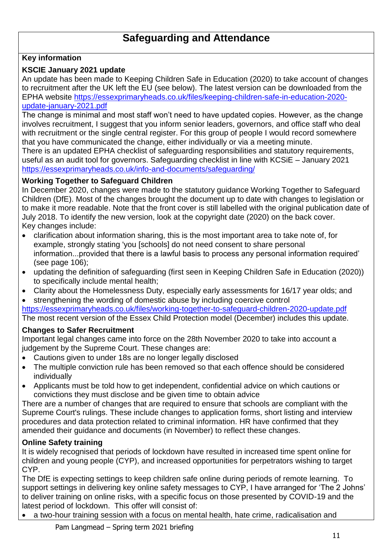## **Safeguarding and Attendance**

## **Key information**

## **KSCIE January 2021 update**

An update has been made to Keeping Children Safe in Education (2020) to take account of changes to recruitment after the UK left the EU (see below). The latest version can be downloaded from the EPHA website [https://essexprimaryheads.co.uk/files/keeping-children-safe-in-education-2020](https://essexprimaryheads.co.uk/files/keeping-children-safe-in-education-2020-update-january-2021.pdf) [update-january-2021.pdf](https://essexprimaryheads.co.uk/files/keeping-children-safe-in-education-2020-update-january-2021.pdf)

The change is minimal and most staff won't need to have updated copies. However, as the change involves recruitment, I suggest that you inform senior leaders, governors, and office staff who deal with recruitment or the single central register. For this group of people I would record somewhere that you have communicated the change, either individually or via a meeting minute.

There is an updated EPHA checklist of safeguarding responsibilities and statutory requirements, useful as an audit tool for governors. Safeguarding checklist in line with KCSiE – January 2021 <https://essexprimaryheads.co.uk/info-and-documents/safeguarding/>

#### **Working Together to Safeguard Children**

In December 2020, changes were made to the statutory guidance Working Together to Safeguard Children (DfE). Most of the changes brought the document up to date with changes to legislation or to make it more readable. Note that the front cover is still labelled with the original publication date of July 2018. To identify the new version, look at the copyright date (2020) on the back cover. Key changes include:

- clarification about information sharing, this is the most important area to take note of, for example, strongly stating 'you [schools] do not need consent to share personal information...provided that there is a lawful basis to process any personal information required' (see page 106);
- updating the definition of safeguarding (first seen in Keeping Children Safe in Education (2020)) to specifically include mental health;
- Clarity about the Homelessness Duty, especially early assessments for 16/17 year olds; and

 strengthening the wording of domestic abuse by including coercive control <https://essexprimaryheads.co.uk/files/working-together-to-safeguard-children-2020-update.pdf> The most recent version of the Essex Child Protection model (December) includes this update.

## **Changes to Safer Recruitment**

Important legal changes came into force on the 28th November 2020 to take into account a judgement by the Supreme Court. These changes are:

- Cautions given to under 18s are no longer legally disclosed
- The multiple conviction rule has been removed so that each offence should be considered individually
- Applicants must be told how to get independent, confidential advice on which cautions or convictions they must disclose and be given time to obtain advice

There are a number of changes that are required to ensure that schools are compliant with the Supreme Court's rulings. These include changes to application forms, short listing and interview procedures and data protection related to criminal information. HR have confirmed that they amended their guidance and documents (in November) to reflect these changes.

## **Online Safety training**

It is widely recognised that periods of lockdown have resulted in increased time spent online for children and young people (CYP), and increased opportunities for perpetrators wishing to target CYP.

The DfE is expecting settings to keep children safe online during periods of remote learning. To support settings in delivering key online safety messages to CYP, I have arranged for 'The 2 Johns' to deliver training on online risks, with a specific focus on those presented by COVID-19 and the latest period of lockdown. This offer will consist of:

a two-hour training session with a focus on mental health, hate crime, radicalisation and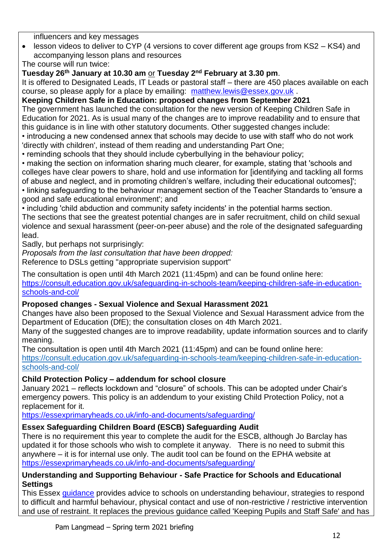influencers and key messages

 lesson videos to deliver to CYP (4 versions to cover different age groups from KS2 – KS4) and accompanying lesson plans and resources

The course will run twice:

**Tuesday 26th January at 10.30 am** or **Tuesday 2nd February at 3.30 pm**.

It is offered to Designated Leads, IT Leads or pastoral staff – there are 450 places available on each course, so please apply for a place by emailing: [matthew.lewis@essex.gov.uk](mailto:matthew.lewis@essex.gov.uk) .

## **Keeping Children Safe in Education: proposed changes from September 2021**

The government has launched the consultation for the new version of Keeping Children Safe in Education for 2021. As is usual many of the changes are to improve readability and to ensure that this guidance is in line with other statutory documents. Other suggested changes include:

• introducing a new condensed annex that schools may decide to use with staff who do not work 'directly with children', instead of them reading and understanding Part One;

• reminding schools that they should include cyberbullying in the behaviour policy;

• making the section on information sharing much clearer, for example, stating that 'schools and colleges have clear powers to share, hold and use information for [identifying and tackling all forms of abuse and neglect, and in promoting children's welfare, including their educational outcomes]';

• linking safeguarding to the behaviour management section of the Teacher Standards to 'ensure a good and safe educational environment'; and

• including 'child abduction and community safety incidents' in the potential harms section.

The sections that see the greatest potential changes are in safer recruitment, child on child sexual violence and sexual harassment (peer-on-peer abuse) and the role of the designated safeguarding lead.

Sadly, but perhaps not surprisingly:

*Proposals from the last consultation that have been dropped:*

Reference to DSLs getting "appropriate supervision support"

The consultation is open until 4th March 2021 (11:45pm) and can be found online here:

[https://consult.education.gov.uk/safeguarding-in-schools-team/keeping-children-safe-in-education](https://consult.education.gov.uk/safeguarding-in-schools-team/keeping-children-safe-in-education-schools-and-col/)[schools-and-col/](https://consult.education.gov.uk/safeguarding-in-schools-team/keeping-children-safe-in-education-schools-and-col/)

## **Proposed changes - Sexual Violence and Sexual Harassment 2021**

Changes have also been proposed to the Sexual Violence and Sexual Harassment advice from the Department of Education (DfE); the consultation closes on 4th March 2021.

Many of the suggested changes are to improve readability, update information sources and to clarify meaning.

The consultation is open until 4th March 2021 (11:45pm) and can be found online here:

[https://consult.education.gov.uk/safeguarding-in-schools-team/keeping-children-safe-in-education](https://consult.education.gov.uk/safeguarding-in-schools-team/keeping-children-safe-in-education-schools-and-col/)[schools-and-col/](https://consult.education.gov.uk/safeguarding-in-schools-team/keeping-children-safe-in-education-schools-and-col/)

## **Child Protection Policy – addendum for school closure**

January 2021 – reflects lockdown and "closure" of schools. This can be adopted under Chair's emergency powers. This policy is an addendum to your existing Child Protection Policy, not a replacement for it.

<https://essexprimaryheads.co.uk/info-and-documents/safeguarding/>

## **Essex Safeguarding Children Board (ESCB) Safeguarding Audit**

There is no requirement this year to complete the audit for the ESCB, although Jo Barclay has updated it for those schools who wish to complete it anyway. There is no need to submit this anywhere – it is for internal use only. The audit tool can be found on the EPHA website at <https://essexprimaryheads.co.uk/info-and-documents/safeguarding/>

## **Understanding and Supporting Behaviour - Safe Practice for Schools and Educational Settings**

This Essex [guidance](https://schools.essex.gov.uk/pupils/Safeguarding/Documents/Understanding%20and%20Supporting%20Behaviour%20-%20Safe%20Practice%20for%20Schools%20-%20Autumn%202020.docx) provides advice to schools on understanding behaviour, strategies to respond to difficult and harmful behaviour, physical contact and use of non-restrictive / restrictive intervention and use of restraint. It replaces the previous guidance called 'Keeping Pupils and Staff Safe' and has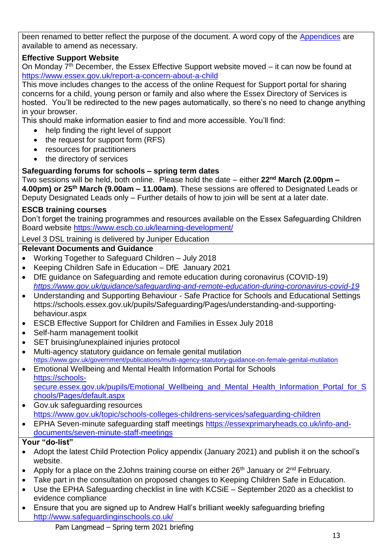been renamed to better reflect the purpose of the document. A word copy of the [Appendices](https://schools.essex.gov.uk/pupils/Safeguarding/Documents/Understanding%20and%20Supporting%20Behaviour%20-%20Appendices%20-%20Autumn%202020.docx) are available to amend as necessary.

## **Effective Support Website**

On Monday  $7<sup>th</sup>$  December, the Essex Effective Support website moved – it can now be found at <https://www.essex.gov.uk/report-a-concern-about-a-child>

This move includes changes to the access of the online Request for Support portal for sharing concerns for a child, young person or family and also where the Essex Directory of Services is hosted. You'll be redirected to the new pages automatically, so there's no need to change anything in your browser.

This should make information easier to find and more accessible. You'll find:

- help finding the right level of support
- the request for support form (RFS)
- resources for practitioners
- the directory of services

## **Safeguarding forums for schools – spring term dates**

Two sessions will be held, both online. Please hold the date – either **22nd March (2.00pm – 4.00pm) or 25th March (9.00am – 11.00am)**. These sessions are offered to Designated Leads or Deputy Designated Leads only – Further details of how to join will be sent at a later date.

## **ESCB training courses**

Don't forget the training programmes and resources available on the Essex Safeguarding Children Board website <https://www.escb.co.uk/learning-development/>

## Level 3 DSL training is delivered by Juniper Education

## **Relevant Documents and Guidance**

- Working Together to Safeguard Children July 2018
- Keeping Children Safe in Education DfE January 2021
- DfE guidance on Safeguarding and remote education during coronavirus (COVID-19) *<https://www.gov.uk/guidance/safeguarding-and-remote-education-during-coronavirus-covid-19>*
- Understanding and Supporting Behaviour Safe Practice for Schools and Educational Settings https://schools.essex.gov.uk/pupils/Safeguarding/Pages/understanding-and-supportingbehaviour.aspx
- ESCB Effective Support for Children and Families in Essex July 2018
- Self-harm management toolkit
- SET bruising/unexplained injuries protocol
- Multi-agency statutory guidance on female genital mutilation <https://www.gov.uk/government/publications/multi-agency-statutory-guidance-on-female-genital-mutilation>
- Emotional Wellbeing and Mental Health Information Portal for Schools [https://schools](https://schools-secure.essex.gov.uk/pupils/Emotional_Wellbeing_and_Mental_Health_Information_Portal_for_Schools/Pages/default.aspx)secure.essex.gov.uk/pupils/Emotional Wellbeing and Mental Health Information Portal for S [chools/Pages/default.aspx](https://schools-secure.essex.gov.uk/pupils/Emotional_Wellbeing_and_Mental_Health_Information_Portal_for_Schools/Pages/default.aspx)
- Gov.uk safeguarding resources <https://www.gov.uk/topic/schools-colleges-childrens-services/safeguarding-children>
- EPHA Seven-minute safeguarding staff meetings [https://essexprimaryheads.co.uk/info-and](https://essexprimaryheads.co.uk/info-and-documents/seven-minute-staff-meetings)[documents/seven-minute-staff-meetings](https://essexprimaryheads.co.uk/info-and-documents/seven-minute-staff-meetings)

- Adopt the latest Child Protection Policy appendix (January 2021) and publish it on the school's website.
- Apply for a place on the 2Johns training course on either  $26<sup>th</sup>$  January or  $2<sup>nd</sup>$  February.
- Take part in the consultation on proposed changes to Keeping Children Safe in Education.
- Use the EPHA Safeguarding checklist in line with KCSiE September 2020 as a checklist to evidence compliance
- Ensure that you are signed up to Andrew Hall's brilliant weekly safeguarding briefing <http://www.safeguardinginschools.co.uk/>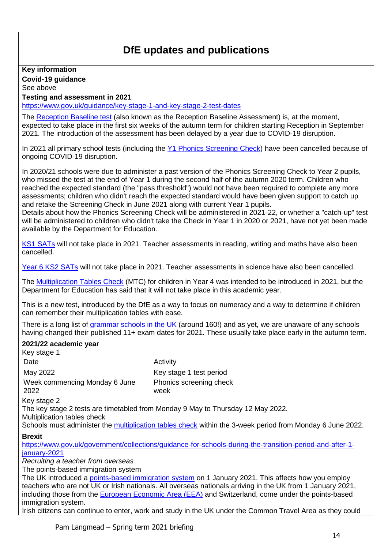## **DfE updates and publications**

**Key information Covid-19 guidance** 

See above

**Testing and assessment in 2021** <https://www.gov.uk/guidance/key-stage-1-and-key-stage-2-test-dates> The [Reception Baseline test](https://www.theschoolrun.com/reception-baseline-assessment-tests-explained-for-parents) (also known as the Reception Baseline Assessment) is, at the moment, expected to take place in the first six weeks of the autumn term for children starting Reception in September 2021. The introduction of the assessment has been delayed by a year due to COVID-19 disruption. In 2021 all primary school tests (including the [Y1 Phonics Screening Check\)](http://www.theschoolrun.com/year-1-phonics-screening-check) have been cancelled because of ongoing COVID-19 disruption. In 2020/21 schools were due to administer a past version of the Phonics Screening Check to Year 2 pupils, who missed the test at the end of Year 1 during the second half of the autumn 2020 term. Children who reached the expected standard (the "pass threshold") would not have been required to complete any more assessments; children who didn't reach the expected standard would have been given support to catch up and retake the Screening Check in June 2021 along with current Year 1 pupils. Details about how the Phonics Screening Check will be administered in 2021-22, or whether a "catch-up" test will be administered to children who didn't take the Check in Year 1 in 2020 or 2021, have not yet been made available by the Department for Education. [KS1 SATs](https://www.theschoolrun.com/KS1-SATs-in-2020) will not take place in 2021. Teacher assessments in reading, writing and maths have also been cancelled. [Year 6 KS2 SATs](https://www.theschoolrun.com/ks2-sats-in-2020) will not take place in 2021. Teacher assessments in science have also been cancelled. The [Multiplication Tables Check](https://www.theschoolrun.com/primary-school-times-tables-tests-explained) (MTC) for children in Year 4 was intended to be introduced in 2021, but the Department for Education has said that it will not take place in this academic year. This is a new test, introduced by the DfE as a way to focus on numeracy and a way to determine if children can remember their multiplication tables with ease. There is a long list of [grammar schools in the UK](https://www.theschoolrun.com/11-plus-region-by-region) (around 160!) and as yet, we are unaware of any schools having changed their published 11+ exam dates for 2021. These usually take place early in the autumn term. **2021/22 academic year** Key stage 1 Date **Date** Activity May 2022 May 2022 May 2022 Mey stage 1 test period Week commencing Monday 6 June 2022 Phonics screening check week Key stage 2 The key stage 2 tests are timetabled from Monday 9 May to Thursday 12 May 2022. Multiplication tables check Schools must administer the [multiplication tables check](https://www.gov.uk/government/publications/multiplication-tables-check-administration-guidance) within the 3-week period from Monday 6 June 2022. **Brexit** [https://www.gov.uk/government/collections/guidance-for-schools-during-the-transition-period-and-after-1](https://www.gov.uk/government/collections/guidance-for-schools-during-the-transition-period-and-after-1-january-2021) [january-2021](https://www.gov.uk/government/collections/guidance-for-schools-during-the-transition-period-and-after-1-january-2021) *Recruiting a teacher from overseas* The points-based immigration system The UK introduced a [points-based immigration system](https://www.gov.uk/guidance/new-immigration-system-what-you-need-to-know) on 1 January 2021. This affects how you employ teachers who are not UK or Irish nationals. All overseas nationals arriving in the UK from 1 January 2021, including those from the [European Economic Area \(EEA\)](https://www.gov.uk/eu-eea) and Switzerland, come under the points-based immigration system. Irish citizens can continue to enter, work and study in the UK under the Common Travel Area as they could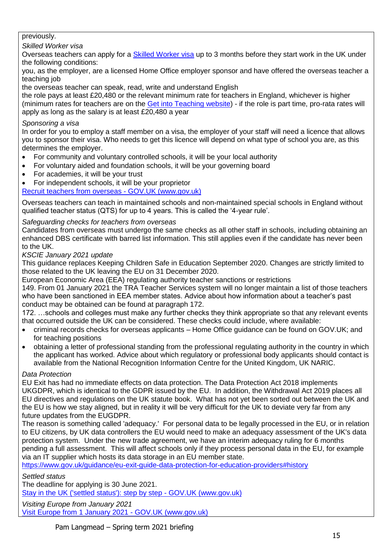#### previously.

#### *Skilled Worker visa*

Overseas teachers can apply for a [Skilled Worker visa](https://www.gov.uk/skilled-worker-visa) up to 3 months before they start work in the UK under the following conditions:

you, as the employer, are a licensed Home Office employer sponsor and have offered the overseas teacher a teaching job

the overseas teacher can speak, read, write and understand English

the role pays at least £20,480 or the relevant minimum rate for teachers in England, whichever is higher (minimum rates for teachers are on the [Get into Teaching website\)](https://getintoteaching.education.gov.uk/teachers-salary-and-teaching-benefits/teachers-pay-scale-salary) - if the role is part time, pro-rata rates will apply as long as the salary is at least £20,480 a year

#### *Sponsoring a visa*

In order for you to employ a staff member on a visa, the employer of your staff will need a licence that allows you to sponsor their visa. Who needs to get this licence will depend on what type of school you are, as this determines the employer.

- For community and voluntary controlled schools, it will be your local authority
- For voluntary aided and foundation schools, it will be your governing board
- For academies, it will be your trust
- For independent schools, it will be your proprietor

[Recruit teachers from overseas -](https://www.gov.uk/guidance/recruit-teachers-from-overseas#history) GOV.UK (www.gov.uk)

Overseas teachers can teach in maintained schools and non-maintained special schools in England without qualified teacher status (QTS) for up to 4 years. This is called the '4-year rule'.

#### *Safeguarding checks for teachers from overseas*

Candidates from overseas must undergo the same checks as all other staff in schools, including obtaining an enhanced DBS certificate with barred list information. This still applies even if the candidate has never been to the UK.

*KSCIE January 2021 update*

This guidance replaces Keeping Children Safe in Education September 2020. Changes are strictly limited to those related to the UK leaving the EU on 31 December 2020.

European Economic Area (EEA) regulating authority teacher sanctions or restrictions

149. From 01 January 2021 the TRA Teacher Services system will no longer maintain a list of those teachers who have been sanctioned in EEA member states. Advice about how information about a teacher's past conduct may be obtained can be found at paragraph 172.

172. …schools and colleges must make any further checks they think appropriate so that any relevant events that occurred outside the UK can be considered. These checks could include, where available:

- criminal records checks for overseas applicants Home Office guidance can be found on GOV.UK; and for teaching positions
- obtaining a letter of professional standing from the professional regulating authority in the country in which the applicant has worked. Advice about which regulatory or professional body applicants should contact is available from the National Recognition Information Centre for the United Kingdom, UK NARIC.

#### *Data Protection*

EU Exit has had no immediate effects on data protection. The Data Protection Act 2018 implements UKGDPR, which is identical to the GDPR issued by the EU. In addition, the Withdrawal Act 2019 places all EU directives and regulations on the UK statute book. What has not yet been sorted out between the UK and the EU is how we stay aligned, but in reality it will be very difficult for the UK to deviate very far from any future updates from the EUGDPR.

The reason is something called 'adequacy.' For personal data to be legally processed in the EU, or in relation to EU citizens, by UK data controllers the EU would need to make an adequacy assessment of the UK's data protection system. Under the new trade agreement, we have an interim adequacy ruling for 6 months pending a full assessment. This will affect schools only if they process personal data in the EU, for example via an IT supplier which hosts its data storage in an EU member state.

<https://www.gov.uk/guidance/eu-exit-guide-data-protection-for-education-providers#history>

*Settled status*

The deadline for applying is 30 June 2021.

[Stay in the UK \('settled status'\): step by step -](https://www.gov.uk/eusettledstatus) GOV.UK (www.gov.uk)

*Visiting Europe from January 2021*

[Visit Europe from 1 January 2021 -](https://www.gov.uk/visit-europe-1-january-2021) GOV.UK (www.gov.uk)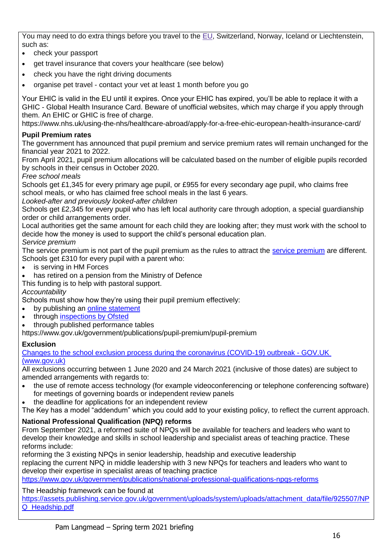You may need to do extra things before you travel to the [EU,](https://www.gov.uk/eu-eea) Switzerland, Norway, Iceland or Liechtenstein, such as:

- check your passport
- get travel insurance that covers your healthcare (see below)
- check you have the right driving documents
- organise pet travel contact your vet at least 1 month before you go

Your EHIC is valid in the EU until it expires. Once your EHIC has expired, you'll be able to replace it with a GHIC - Global Health Insurance Card. Beware of unofficial websites, which may charge if you apply through them. An EHIC or GHIC is free of charge.

https://www.nhs.uk/using-the-nhs/healthcare-abroad/apply-for-a-free-ehic-european-health-insurance-card/

#### **Pupil Premium rates**

The government has announced that pupil premium and service premium rates will remain unchanged for the financial year 2021 to 2022.

From April 2021, pupil premium allocations will be calculated based on the number of eligible pupils recorded by schools in their census in October 2020.

*Free school meals*

Schools get £1,345 for every primary age pupil, or £955 for every secondary age pupil, who claims free school meals, or who has claimed free school meals in the last 6 years.

#### *Looked-after and previously looked-after children*

Schools get £2,345 for every pupil who has left local authority care through adoption, a special guardianship order or child arrangements order.

Local authorities get the same amount for each child they are looking after; they must work with the school to decide how the money is used to support the child's personal education plan. *Service premium*

The service premium is not part of the pupil premium as the rules to attract the service [premium](https://www.gov.uk/government/publications/the-service-pupil-premium) are different. Schools get £310 for every pupil with a parent who:

- is serving in HM Forces
- has retired on a pension from the Ministry of Defence
- This funding is to help with pastoral support.

*Accountability*

Schools must show how they're using their pupil premium effectively:

- by publishing an [online statement](https://www.gov.uk/guidance/pupil-premium-strategy-statements)
- through [inspections by Ofsted](https://reports.ofsted.gov.uk/)
- through published performance tables

https://www.gov.uk/government/publications/pupil-premium/pupil-premium

#### **Exclusion**

[Changes to the school exclusion process during the coronavirus \(COVID-19\) outbreak -](https://www.gov.uk/government/publications/school-exclusion/changes-to-the-school-exclusion-process-during-the-coronavirus-outbreak) GOV.UK [\(www.gov.uk\)](https://www.gov.uk/government/publications/school-exclusion/changes-to-the-school-exclusion-process-during-the-coronavirus-outbreak)

All exclusions occurring between 1 June 2020 and 24 March 2021 (inclusive of those dates) are subject to amended arrangements with regards to:

- the use of remote access technology (for example videoconferencing or telephone conferencing software) for meetings of governing boards or independent review panels
- the deadline for applications for an independent review

The Key has a model "addendum" which you could add to your existing policy, to reflect the current approach.

#### **National Professional Qualification (NPQ) reforms**

From September 2021, a reformed suite of NPQs will be available for teachers and leaders who want to develop their knowledge and skills in school leadership and specialist areas of teaching practice. These reforms include:

reforming the 3 existing NPQs in senior leadership, headship and executive leadership replacing the current NPQ in middle leadership with 3 new NPQs for teachers and leaders who want to develop their expertise in specialist areas of teaching practice

<https://www.gov.uk/government/publications/national-professional-qualifications-npqs-reforms>

#### The Headship framework can be found at

[https://assets.publishing.service.gov.uk/government/uploads/system/uploads/attachment\\_data/file/925507/NP](https://assets.publishing.service.gov.uk/government/uploads/system/uploads/attachment_data/file/925507/NPQ_Headship.pdf) [Q\\_Headship.pdf](https://assets.publishing.service.gov.uk/government/uploads/system/uploads/attachment_data/file/925507/NPQ_Headship.pdf)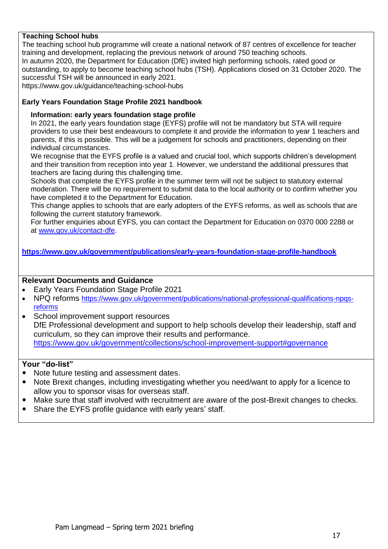#### **Teaching School hubs**

The teaching school hub programme will create a national network of 87 centres of excellence for teacher training and development, replacing the previous network of around 750 teaching schools. In autumn 2020, the Department for Education (DfE) invited high performing schools, rated good or outstanding, to apply to become teaching school hubs (TSH). Applications closed on 31 October 2020. The successful TSH will be announced in early 2021.

https://www.gov.uk/guidance/teaching-school-hubs

#### **Early Years Foundation Stage Profile 2021 handbook**

#### **Information: early years foundation stage profile**

In 2021, the early years foundation stage (EYFS) profile will not be mandatory but STA will require providers to use their best endeavours to complete it and provide the information to year 1 teachers and parents, if this is possible. This will be a judgement for schools and practitioners, depending on their individual circumstances.

We recognise that the EYFS profile is a valued and crucial tool, which supports children's development and their transition from reception into year 1. However, we understand the additional pressures that teachers are facing during this challenging time.

Schools that complete the EYFS profile in the summer term will not be subject to statutory external moderation. There will be no requirement to submit data to the local authority or to confirm whether you have completed it to the Department for Education.

This change applies to schools that are early adopters of the EYFS reforms, as well as schools that are following the current statutory framework.

For further enquiries about EYFS, you can contact the Department for Education on 0370 000 2288 or at [www.gov.uk/contact-dfe.](https://www.us17.list-manage.com/track/click?u=8088a92c9c7454749d4a06114&id=16077e9425&e=b701ce3e79)

**<https://www.gov.uk/government/publications/early-years-foundation-stage-profile-handbook>**

#### **Relevant Documents and Guidance**

- Early Years Foundation Stage Profile 2021
- NPQ reforms https://www.gov.uk/government/publications/national-professional-qualifications-npgs[reforms](https://www.gov.uk/government/publications/national-professional-qualifications-npqs-reforms)
- School improvement support resources DfE Professional development and support to help schools develop their leadership, staff and curriculum, so they can improve their results and performance. <https://www.gov.uk/government/collections/school-improvement-support#governance>

- Note future testing and assessment dates.
- Note Brexit changes, including investigating whether you need/want to apply for a licence to allow you to sponsor visas for overseas staff.
- Make sure that staff involved with recruitment are aware of the post-Brexit changes to checks.
- Share the EYFS profile guidance with early years' staff.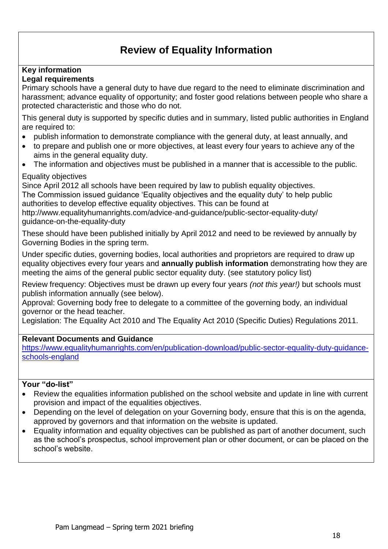## **Review of Equality Information**

#### **Key information Legal requirements**

Primary schools have a general duty to have due regard to the need to eliminate discrimination and harassment; advance equality of opportunity; and foster good relations between people who share a protected characteristic and those who do not.

This general duty is supported by specific duties and in summary, listed public authorities in England are required to:

- publish information to demonstrate compliance with the general duty, at least annually, and
- to prepare and publish one or more objectives, at least every four years to achieve any of the aims in the general equality duty.
- The information and objectives must be published in a manner that is accessible to the public.

#### Equality objectives

Since April 2012 all schools have been required by law to publish equality objectives. The Commission issued guidance 'Equality objectives and the equality duty' to help public authorities to develop effective equality objectives. This can be found at http://www.equalityhumanrights.com/advice-and-guidance/public-sector-equality-duty/ guidance-on-the-equality-duty

These should have been published initially by April 2012 and need to be reviewed by annually by Governing Bodies in the spring term.

Under specific duties, governing bodies, local authorities and proprietors are required to draw up equality objectives every four years and **annually publish information** demonstrating how they are meeting the aims of the general public sector equality duty. (see statutory policy list)

Review frequency: Objectives must be drawn up every four years *(not this year!)* but schools must publish information annually (see below).

Approval: Governing body free to delegate to a committee of the governing body, an individual governor or the head teacher.

Legislation: The Equality Act 2010 and The Equality Act 2010 (Specific Duties) Regulations 2011.

#### **Relevant Documents and Guidance**

https://www.equalityhumanrights.com/en/publication-download/public-sector-equality-duty-quidance[schools-england](https://www.equalityhumanrights.com/en/publication-download/public-sector-equality-duty-guidance-schools-england)

- Review the equalities information published on the school website and update in line with current provision and impact of the equalities objectives.
- Depending on the level of delegation on your Governing body, ensure that this is on the agenda, approved by governors and that information on the website is updated.
- Equality information and equality objectives can be published as part of another document, such as the school's prospectus, school improvement plan or other document, or can be placed on the school's website.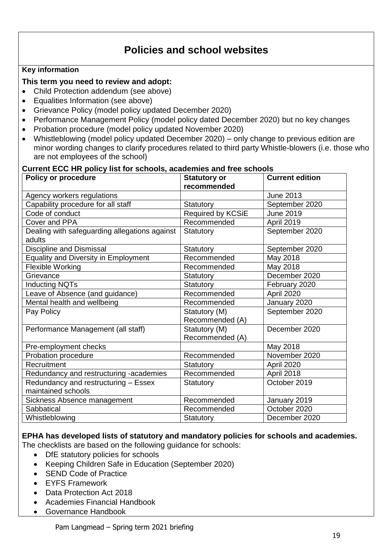## **Policies and school websites**

#### **Key information**

## **This term you need to review and adopt:**

- Child Protection addendum (see above)
- Equalities Information (see above)
- Grievance Policy (model policy updated December 2020)
- Performance Management Policy (model policy dated December 2020) but no key changes
- Probation procedure (model policy updated November 2020)
- Whistleblowing (model policy updated December 2020) only change to previous edition are minor wording changes to clarify procedures related to third party Whistle-blowers (i.e. those who are not employees of the school)

#### **Policy or procedure** Statutory or **recommended Current edition**  Agency workers regulations and all the 2013 Capability procedure for all staff Statutory Statutory September 2020 Code of conduct Required by KCSIE June 2019 Cover and PPA Recommended April 2019 Dealing with safeguarding allegations against adults Statutory September 2020 Discipline and Dismissal Statutory Statutory September 2020 Equality and Diversity in Employment Recommended May 2018 Flexible Working **Recommended** May 2018 Grievance Statutory Statutory Becember 2020 Inducting NQTs  $\vert$  Statutory  $\vert$  February 2020 Leave of Absence (and guidance) Recommended April 2020 Mental health and wellbeing  $\vert$ Recommended  $\vert$  January 2020 Pay Policy **Statutory (M)** Recommended (A) September 2020 Performance Management (all staff) Statutory (M) Recommended (A) December 2020 Pre-employment checks May 2018 Probation procedure Recommended November 2020 Recruitment Statutory Recruitment April 2020 Redundancy and restructuring -academies | Recommended | April 2018 Redundancy and restructuring – Essex maintained schools Statutory **October 2019** Sickness Absence management Recommended January 2019 Sabbatical Recommended Corober 2020 Whistleblowing **Statutory** December 2020

#### **Current ECC HR policy list for schools, academies and free schools**

#### **EPHA has developed lists of statutory and mandatory policies for schools and academies.**

The checklists are based on the following guidance for schools:

- DfE statutory policies for schools
- Keeping Children Safe in Education (September 2020)
- SEND Code of Practice
- EYFS Framework
- Data Protection Act 2018
- Academies Financial Handbook
- Governance Handbook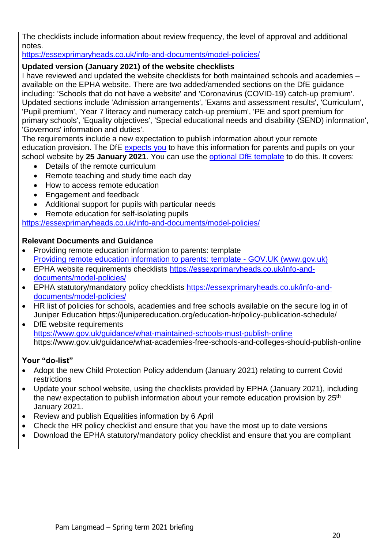The checklists include information about review frequency, the level of approval and additional notes.

<https://essexprimaryheads.co.uk/info-and-documents/model-policies/>

## **Updated version (January 2021) of the website checklists**

I have reviewed and updated the website checklists for both maintained schools and academies – available on the EPHA website. There are two added/amended sections on the DfE guidance including: 'Schools that do not have a website' and 'Coronavirus (COVID-19) catch-up premium'. Updated sections include 'Admission arrangements', 'Exams and assessment results', 'Curriculum', 'Pupil premium', 'Year 7 literacy and numeracy catch-up premium', 'PE and sport premium for primary schools', 'Equality objectives', 'Special educational needs and disability (SEND) information', 'Governors' information and duties'.

The requirements include a new expectation to publish information about your remote education provision. The DfE [expects you](https://www.gov.uk/government/publications/actions-for-schools-during-the-coronavirus-outbreak/guidance-for-full-opening-schools#res) to have this information for parents and pupils on your school website by **25 January 2021**. You can use the [optional DfE template](https://www.gov.uk/government/publications/providing-remote-education-information-to-parents-template) to do this. It covers:

- Details of the remote curriculum
- Remote teaching and study time each day
- How to access remote education
- Engagement and feedback
- Additional support for pupils with particular needs
- Remote education for self-isolating pupils

<https://essexprimaryheads.co.uk/info-and-documents/model-policies/>

#### **Relevant Documents and Guidance**

- Providing remote education information to parents: template [Providing remote education information to parents: template -](https://www.gov.uk/government/publications/providing-remote-education-information-to-parents-template) GOV.UK (www.gov.uk)
- EPHA website requirements checklists [https://essexprimaryheads.co.uk/info-and](https://essexprimaryheads.co.uk/info-and-documents/model-policies/)[documents/model-policies/](https://essexprimaryheads.co.uk/info-and-documents/model-policies/)
- EPHA statutory/mandatory policy checklists [https://essexprimaryheads.co.uk/info-and](https://essexprimaryheads.co.uk/info-and-documents/model-policies/)[documents/model-policies/](https://essexprimaryheads.co.uk/info-and-documents/model-policies/)
- HR list of policies for schools, academies and free schools available on the secure log in of Juniper Education https://junipereducation.org/education-hr/policy-publication-schedule/
- DfE website requirements <https://www.gov.uk/guidance/what-maintained-schools-must-publish-online> https://www.gov.uk/guidance/what-academies-free-schools-and-colleges-should-publish-online

- Adopt the new Child Protection Policy addendum (January 2021) relating to current Covid restrictions
- Update your school website, using the checklists provided by EPHA (January 2021), including the new expectation to publish information about your remote education provision by 25<sup>th</sup> January 2021.
- Review and publish Equalities information by 6 April
- Check the HR policy checklist and ensure that you have the most up to date versions
- Download the EPHA statutory/mandatory policy checklist and ensure that you are compliant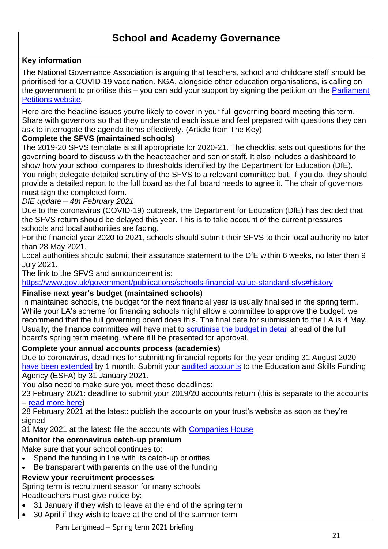## **School and Academy Governance**

## **Key information**

The National Governance Association is arguing that teachers, school and childcare staff should be prioritised for a COVID-19 vaccination. NGA, alongside other education organisations, is calling on the government to prioritise this – you can add your support by signing the petition on the Parliament [Petitions website.](https://petition.parliament.uk/petitions/554316)

Here are the headline issues you're likely to cover in your full governing board meeting this term. Share with governors so that they understand each issue and feel prepared with questions they can ask to interrogate the agenda items effectively. (Article from The Key)

## **Complete the SFVS (maintained schools)**

The 2019-20 SFVS template is still appropriate for 2020-21. The checklist sets out questions for the governing board to discuss with the headteacher and senior staff. It also includes a dashboard to show how your school compares to thresholds identified by the Department for Education (DfE). You might delegate detailed scrutiny of the SFVS to a relevant committee but, if you do, they should provide a detailed report to the full board as the full board needs to agree it. The chair of governors must sign the completed form.

#### *DfE update – 4th February 2021*

Due to the coronavirus (COVID-19) outbreak, the Department for Education (DfE) has decided that the SFVS return should be delayed this year. This is to take account of the current pressures schools and local authorities are facing.

For the financial year 2020 to 2021, schools should submit their SFVS to their local authority no later than 28 May 2021.

Local authorities should submit their assurance statement to the DfE within 6 weeks, no later than 9 July 2021.

The link to the SFVS and announcement is:

<https://www.gov.uk/government/publications/schools-financial-value-standard-sfvs#history>

#### **Finalise next year's budget (maintained schools)**

In maintained schools, the budget for the next financial year is usually finalised in the spring term. While your LA's scheme for financing schools might allow a committee to approve the budget, we recommend that the full governing board does this. The final date for submission to the LA is 4 May. Usually, the finance committee will have met to [scrutinise the budget in detail](https://schoolgovernors.thekeysupport.com/finance-and-premises/school-funding/school-budget/approving-budget-finance-committee-questions-ask/?marker=content-body) ahead of the full board's spring term meeting, where it'll be presented for approval.

#### **Complete your annual accounts process (academies)**

Due to coronavirus, deadlines for submitting financial reports for the year ending 31 August 2020 [have been extended](https://www.gov.uk/government/publications/letter-to-academy-trust-accounting-officers-august-2020) by 1 month. Submit your [audited accounts](https://schoolgovernors.thekeysupport.com/academies-mats/trust-compliance-administration-roles/academy-accounts-a-quick-guide-for-trustees/?marker=content-body) to the Education and Skills Funding Agency (ESFA) by 31 January 2021.

You also need to make sure you meet these deadlines:

23 February 2021: deadline to submit your 2019/20 accounts return (this is separate to the accounts – [read more here\)](https://www.gov.uk/guidance/academies-accounts-return#to-2018-accounts-return)

28 February 2021 at the latest: publish the accounts on your trust's website as soon as they're signed

31 May 2021 at the latest: file the accounts with [Companies House](https://www.gov.uk/government/organisations/companies-house)

## **Monitor the coronavirus catch-up premium**

Make sure that your school continues to:

- Spend the funding in line with its catch-up priorities
- Be transparent with parents on the use of the funding

## **Review your recruitment processes**

Spring term is recruitment season for many schools.

Headteachers must give notice by:

- 31 January if they wish to leave at the end of the spring term
- 30 April if they wish to leave at the end of the summer term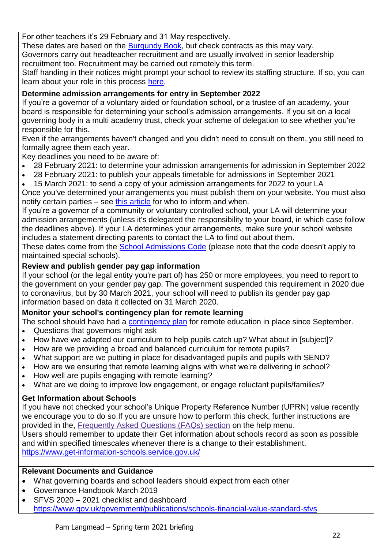For other teachers it's 29 February and 31 May respectively.

These dates are based on the [Burgundy Book,](https://www.nasuwt.org.uk/uploads/assets/uploaded/9a9fca1f-fb65-4160-a06374b589b99193.pdf) but check contracts as this may vary. Governors carry out headteacher recruitment and are usually involved in senior leadership recruitment too. Recruitment may be carried out remotely this term.

Staff handing in their notices might prompt your school to review its staffing structure. If so, you can learn about your role in this process [here.](https://schoolgovernors.thekeysupport.com/school-staff/staffing-structures-and-change/managing-restructures/staffing-structure-changes-is-consultation-required/?marker=content-body)

## **Determine admission arrangements for entry in September 2022**

If you're a governor of a voluntary aided or foundation school, or a trustee of an academy, your board is responsible for determining your school's admission arrangements. If you sit on a local governing body in a multi academy trust, check your scheme of delegation to see whether you're responsible for this.

Even if the arrangements haven't changed and you didn't need to consult on them, you still need to formally agree them each year.

Key deadlines you need to be aware of:

- 28 February 2021: to determine your admission arrangements for admission in September 2022
- 28 February 2021: to publish your appeals timetable for admissions in September 2021

15 March 2021: to send a copy of your admission arrangements for 2022 to your LA

Once you've determined your arrangements you must publish them on your website. You must also notify certain parties – see [this article](https://schoolgovernors.thekeysupport.com/curriculum-and-pupils/admissions-and-roll/consulting-on-admissions-arrangements/?marker=content-body) for who to inform and when.

If you're a governor of a community or voluntary controlled school, your LA will determine your admission arrangements (unless it's delegated the responsibility to your board, in which case follow the deadlines above). If your LA determines your arrangements, make sure your school website includes a statement directing parents to contact the LA to find out about them.

These dates come from the [School Admissions Code](https://www.gov.uk/government/publications/school-admissions-code--2) (please note that the code doesn't apply to maintained special schools).

## **Review and publish gender pay gap information**

If your school (or the legal entity you're part of) has 250 or more employees, you need to report to the government on your gender pay gap. The government suspended this requirement in 2020 due to coronavirus, but by 30 March 2021, your school will need to publish its gender pay gap information based on data it collected on 31 March 2020.

## **Monitor your school's contingency plan for remote learning**

The school should have had a [contingency plan](https://schoolgovernors.thekeysupport.com/curriculum-and-pupils/curriculum/school-reopening-scrutinising-your-schools-contingency-plan/?marker=content-body) for remote education in place since September.

- Questions that governors might ask
- How have we adapted our curriculum to help pupils catch up? What about in [subject]?
- How are we providing a broad and balanced curriculum for remote pupils?
- What support are we putting in place for disadvantaged pupils and pupils with SEND?
- How are we ensuring that remote learning aligns with what we're delivering in school?
- How well are pupils engaging with remote learning?
- What are we doing to improve low engagement, or engage reluctant pupils/families?

## **Get Information about Schools**

If you have not checked your school's Unique Property Reference Number (UPRN) value recently we encourage you to do so.If you are unsure how to perform this check, further instructions are provided in the, [Frequently Asked Questions \(FAQs\) section](https://www.get-information-schools.service.gov.uk/faq) on the help menu.

Users should remember to update their Get information about schools record as soon as possible and within specified timescales whenever there is a change to their establishment. <https://www.get-information-schools.service.gov.uk/>

## **Relevant Documents and Guidance**

- What governing boards and school leaders should expect from each other
- Governance Handbook March 2019
- SFVS 2020 2021 checklist and dashboard <https://www.gov.uk/government/publications/schools-financial-value-standard-sfvs>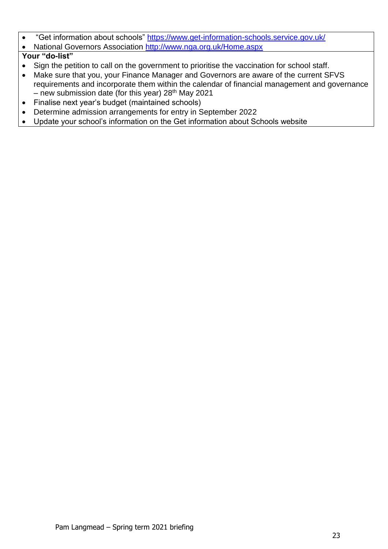• "Get information about schools"<https://www.get-information-schools.service.gov.uk/>

National Governors Association<http://www.nga.org.uk/Home.aspx>

- Sign the petition to call on the government to prioritise the vaccination for school staff.
- Make sure that you, your Finance Manager and Governors are aware of the current SFVS requirements and incorporate them within the calendar of financial management and governance – new submission date (for this year)  $28<sup>th</sup>$  May 2021
- Finalise next year's budget (maintained schools)
- Determine admission arrangements for entry in September 2022
- Update your school's information on the Get information about Schools website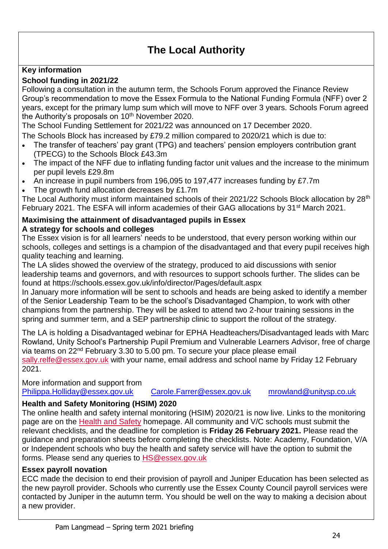## **The Local Authority**

## **Key information**

## **School funding in 2021/22**

Following a consultation in the autumn term, the Schools Forum approved the Finance Review Group's recommendation to move the Essex Formula to the National Funding Formula (NFF) over 2 years, except for the primary lump sum which will move to NFF over 3 years. Schools Forum agreed the Authority's proposals on 10<sup>th</sup> November 2020.

The School Funding Settlement for 2021/22 was announced on 17 December 2020.

- The Schools Block has increased by £79.2 million compared to 2020/21 which is due to:
- The transfer of teachers' pay grant (TPG) and teachers' pension employers contribution grant (TPECG) to the Schools Block £43.3m
- The impact of the NFF due to inflating funding factor unit values and the increase to the minimum per pupil levels £29.8m
- An increase in pupil numbers from 196,095 to 197,477 increases funding by £7.7m
- The growth fund allocation decreases by £1.7m

The Local Authority must inform maintained schools of their 2021/22 Schools Block allocation by 28<sup>th</sup> February 2021. The ESFA will inform academies of their GAG allocations by 31<sup>st</sup> March 2021.

#### **Maximising the attainment of disadvantaged pupils in Essex A strategy for schools and colleges**

The Essex vision is for all learners' needs to be understood, that every person working within our schools, colleges and settings is a champion of the disadvantaged and that every pupil receives high quality teaching and learning.

The LA slides showed the overview of the strategy, produced to aid discussions with senior leadership teams and governors, and with resources to support schools further. The slides can be found at https://schools.essex.gov.uk/info/director/Pages/default.aspx

In January more information will be sent to schools and heads are being asked to identify a member of the Senior Leadership Team to be the school's Disadvantaged Champion, to work with other champions from the partnership. They will be asked to attend two 2-hour training sessions in the spring and summer term, and a SEP partnership clinic to support the rollout of the strategy.

The LA is holding a Disadvantaged webinar for EPHA Headteachers/Disadvantaged leads with Marc Rowland, Unity School's Partnership Pupil Premium and Vulnerable Learners Advisor, free of charge via teams on 22nd February 3.30 to 5.00 pm. To secure your place please email

[sally.relfe@essex.gov.uk](mailto:sally.relfe@essex.gov.uk) with your name, email address and school name by Friday 12 February 2021.

#### More information and support from

[Philippa.Holliday@essex.gov.uk Carole.Farrer@essex.gov.uk mrowland@unitysp.co.uk](mailto:mrowland@unitysp.co.uk)

## **Health and Safety Monitoring (HSIM) 2020**

The online health and safety internal monitoring (HSIM) 2020/21 is now live. Links to the monitoring page are on the [Health and Safety](https://lnks.gd/l/eyJhbGciOiJIUzI1NiJ9.eyJidWxsZXRpbl9saW5rX2lkIjoxMDgsInVyaSI6ImJwMjpjbGljayIsImJ1bGxldGluX2lkIjoiMjAyMDAxMDYuMTUwNjU4ODEiLCJ1cmwiOiJodHRwczovL3NjaG9vbHMuZXNzZXguZ292LnVrL2FkbWluL2hzL1BhZ2VzL3BvcnRhbC5hc3B4In0.Sy9BfDAXtG9F0TgT_lNhCaWhpI0QTP5xt2Rdi1VU1xI/br/73697904306-l) homepage. All community and V/C schools must submit the relevant checklists, and the deadline for completion is **Friday 26 February 2021.** Please read the guidance and preparation sheets before completing the checklists. Note: Academy, Foundation, V/A or Independent schools who buy the health and safety service will have the option to submit the forms. Please send any queries to [HS@essex.gov.uk](mailto:HS@essex.gov.uk)

#### **Essex payroll novation**

ECC made the decision to end their provision of payroll and Juniper Education has been selected as the new payroll provider. Schools who currently use the Essex County Council payroll services were contacted by Juniper in the autumn term. You should be well on the way to making a decision about a new provider.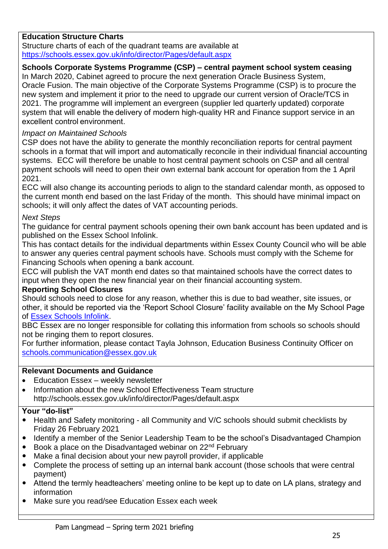## **Education Structure Charts**

Structure charts of each of the quadrant teams are available at <https://schools.essex.gov.uk/info/director/Pages/default.aspx>

#### **Schools Corporate Systems Programme (CSP) – central payment school system ceasing**

In March 2020, Cabinet agreed to procure the next generation Oracle Business System, Oracle Fusion. The main objective of the Corporate Systems Programme (CSP) is to procure the new system and implement it prior to the need to upgrade our current version of Oracle/TCS in 2021. The programme will implement an evergreen (supplier led quarterly updated) corporate system that will enable the delivery of modern high-quality HR and Finance support service in an excellent control environment.

#### *Impact on Maintained Schools*

CSP does not have the ability to generate the monthly reconciliation reports for central payment schools in a format that will import and automatically reconcile in their individual financial accounting systems. ECC will therefore be unable to host central payment schools on CSP and all central payment schools will need to open their own external bank account for operation from the 1 April 2021.

ECC will also change its accounting periods to align to the standard calendar month, as opposed to the current month end based on the last Friday of the month. This should have minimal impact on schools; it will only affect the dates of VAT accounting periods.

## *Next Steps*

The guidance for central payment schools opening their own bank account has been updated and is published on the Essex School Infolink.

This has contact details for the individual departments within Essex County Council who will be able to answer any queries central payment schools have. Schools must comply with the Scheme for Financing Schools when opening a bank account.

ECC will publish the VAT month end dates so that maintained schools have the correct dates to input when they open the new financial year on their financial accounting system.

## **Reporting School Closures**

Should schools need to close for any reason, whether this is due to bad weather, site issues, or other, it should be reported via the 'Report School Closure' facility available on the My School Page of [Essex Schools Infolink.](http://links.govdelivery.com/track?type=click&enid=ZWFzPTEmbWFpbGluZ2lkPTIwMTgwMTA4LjgzMzA2NTIxJm1lc3NhZ2VpZD1NREItUFJELUJVTC0yMDE4MDEwOC44MzMwNjUyMSZkYXRhYmFzZWlkPTEwMDEmc2VyaWFsPTE3Mjc5MzU0JmVtYWlsaWQ9cGFtQGxhbmdtZWFkLm1lLnVrJnVzZXJpZD1wYW1AbGFuZ21lYWQubWUudWsmZmw9JmV4dHJhPU11bHRpdmFyaWF0ZUlkPSYmJg==&&&103&&&http://schools.essex.gov.uk/Pages/My-School.aspx)

BBC Essex are no longer responsible for collating this information from schools so schools should not be ringing them to report closures.

For further information, please contact Tayla Johnson, Education Business Continuity Officer on [schools.communication@essex.gov.uk](mailto:schools.communication@essex.gov.uk)

#### **Relevant Documents and Guidance**

- Education Essex weekly newsletter
- Information about the new School Effectiveness Team structure http://schools.essex.gov.uk/info/director/Pages/default.aspx

- Health and Safety monitoring all Community and V/C schools should submit checklists by Friday 26 February 2021
- Identify a member of the Senior Leadership Team to be the school's Disadvantaged Champion
- Book a place on the Disadvantaged webinar on 22<sup>nd</sup> February
- Make a final decision about your new payroll provider, if applicable
- Complete the process of setting up an internal bank account (those schools that were central payment)
- Attend the termly headteachers' meeting online to be kept up to date on LA plans, strategy and information
- Make sure you read/see Education Essex each week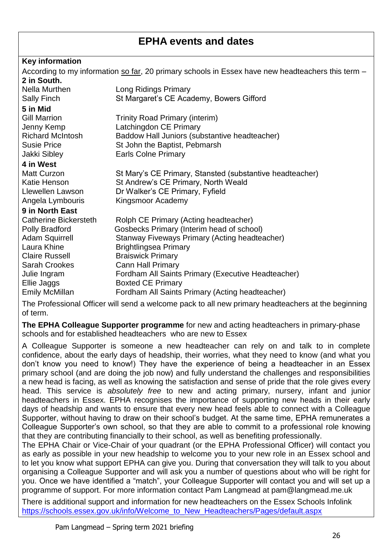## **EPHA events and dates**

## **Key information**

|                                                                                                     | According to my information so far, 20 primary schools in Essex have new headteachers this term - |
|-----------------------------------------------------------------------------------------------------|---------------------------------------------------------------------------------------------------|
| 2 in South.                                                                                         |                                                                                                   |
| Nella Murthen                                                                                       | Long Ridings Primary                                                                              |
| Sally Finch                                                                                         | St Margaret's CE Academy, Bowers Gifford                                                          |
| 5 in Mid                                                                                            |                                                                                                   |
| <b>Gill Marrion</b>                                                                                 | <b>Trinity Road Primary (interim)</b>                                                             |
| Jenny Kemp                                                                                          | Latchingdon CE Primary                                                                            |
| <b>Richard McIntosh</b>                                                                             | Baddow Hall Juniors (substantive headteacher)                                                     |
| <b>Susie Price</b>                                                                                  | St John the Baptist, Pebmarsh                                                                     |
| Jakki Sibley                                                                                        | <b>Earls Colne Primary</b>                                                                        |
| 4 in West                                                                                           |                                                                                                   |
| Matt Curzon                                                                                         | St Mary's CE Primary, Stansted (substantive headteacher)                                          |
| Katie Henson                                                                                        | St Andrew's CE Primary, North Weald                                                               |
| Llewellen Lawson                                                                                    | Dr Walker's CE Primary, Fyfield                                                                   |
| Angela Lymbouris                                                                                    | Kingsmoor Academy                                                                                 |
| 9 in North East                                                                                     |                                                                                                   |
| Catherine Bickersteth                                                                               | Rolph CE Primary (Acting headteacher)                                                             |
| <b>Polly Bradford</b>                                                                               | Gosbecks Primary (Interim head of school)                                                         |
| <b>Adam Squirrell</b>                                                                               | Stanway Fiveways Primary (Acting headteacher)                                                     |
| Laura Khine                                                                                         | <b>Brightlingsea Primary</b>                                                                      |
| <b>Claire Russell</b>                                                                               | <b>Braiswick Primary</b>                                                                          |
| Sarah Crookes                                                                                       | <b>Cann Hall Primary</b>                                                                          |
| Julie Ingram                                                                                        | Fordham All Saints Primary (Executive Headteacher)                                                |
| Ellie Jaggs                                                                                         | <b>Boxted CE Primary</b>                                                                          |
| Emily McMillan                                                                                      | Fordham All Saints Primary (Acting headteacher)                                                   |
| The Drefessional Officer will gend a welcome pools to all now primary beadteachers of the beginning |                                                                                                   |

The Professional Officer will send a welcome pack to all new primary headteachers at the beginning of term.

**The EPHA Colleague Supporter programme** for new and acting headteachers in primary-phase schools and for established headteachers who are new to Essex

A Colleague Supporter is someone a new headteacher can rely on and talk to in complete confidence, about the early days of headship, their worries, what they need to know (and what you don't know you need to know!) They have the experience of being a headteacher in an Essex primary school (and are doing the job now) and fully understand the challenges and responsibilities a new head is facing, as well as knowing the satisfaction and sense of pride that the role gives every head. This service is *absolutely free* to new and acting primary, nursery, infant and junior headteachers in Essex. EPHA recognises the importance of supporting new heads in their early days of headship and wants to ensure that every new head feels able to connect with a Colleague Supporter, without having to draw on their school's budget. At the same time, EPHA remunerates a Colleague Supporter's own school, so that they are able to commit to a professional role knowing that they are contributing financially to their school, as well as benefiting professionally.

The EPHA Chair or Vice-Chair of your quadrant (or the EPHA Professional Officer) will contact you as early as possible in your new headship to welcome you to your new role in an Essex school and to let you know what support EPHA can give you. During that conversation they will talk to you about organising a Colleague Supporter and will ask you a number of questions about who will be right for you. Once we have identified a "match", your Colleague Supporter will contact you and will set up a programme of support. For more information contact Pam Langmead at pam@langmead.me.uk

There is additional support and information for new headteachers on the Essex Schools Infolink [https://schools.essex.gov.uk/info/Welcome\\_to\\_New\\_Headteachers/Pages/default.aspx](https://schools.essex.gov.uk/info/Welcome_to_New_Headteachers/Pages/default.aspx)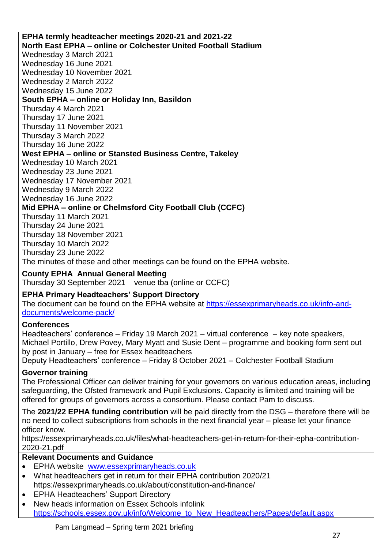**EPHA termly headteacher meetings 2020-21 and 2021-22 North East EPHA – online or Colchester United Football Stadium**  Wednesday 3 March 2021 Wednesday 16 June 2021 Wednesday 10 November 2021 Wednesday 2 March 2022 Wednesday 15 June 2022 **South EPHA – online or Holiday Inn, Basildon**  Thursday 4 March 2021 Thursday 17 June 2021 Thursday 11 November 2021 Thursday 3 March 2022 Thursday 16 June 2022 **West EPHA – online or Stansted Business Centre, Takeley**  Wednesday 10 March 2021 Wednesday 23 June 2021 Wednesday 17 November 2021 Wednesday 9 March 2022 Wednesday 16 June 2022 **Mid EPHA – online or Chelmsford City Football Club (CCFC)**  Thursday 11 March 2021 Thursday 24 June 2021 Thursday 18 November 2021 Thursday 10 March 2022 Thursday 23 June 2022 The minutes of these and other meetings can be found on the EPHA website.

## **County EPHA Annual General Meeting**

Thursday 30 September 2021 venue tba (online or CCFC)

## **EPHA Primary Headteachers' Support Directory**

The document can be found on the EPHA website at [https://essexprimaryheads.co.uk/info-and](https://essexprimaryheads.co.uk/info-and-documents/welcome-pack/)[documents/welcome-pack/](https://essexprimaryheads.co.uk/info-and-documents/welcome-pack/)

## **Conferences**

Headteachers' conference – Friday 19 March 2021 – virtual conference – key note speakers, Michael Portillo, Drew Povey, Mary Myatt and Susie Dent – programme and booking form sent out by post in January – free for Essex headteachers

Deputy Headteachers' conference – Friday 8 October 2021 – Colchester Football Stadium

## **Governor training**

The Professional Officer can deliver training for your governors on various education areas, including safeguarding, the Ofsted framework and Pupil Exclusions. Capacity is limited and training will be offered for groups of governors across a consortium. Please contact Pam to discuss.

The **2021/22 EPHA funding contribution** will be paid directly from the DSG – therefore there will be no need to collect subscriptions from schools in the next financial year – please let your finance officer know.

https://essexprimaryheads.co.uk/files/what-headteachers-get-in-return-for-their-epha-contribution-2020-21.pdf

## **Relevant Documents and Guidance**

- EPHA website [www.essexprimaryheads.co.uk](http://www.essexprimaryheads.co.uk/)
- What headteachers get in return for their EPHA contribution 2020/21 https://essexprimaryheads.co.uk/about/constitution-and-finance/
- EPHA Headteachers' Support Directory
- New heads information on Essex Schools infolink [https://schools.essex.gov.uk/info/Welcome\\_to\\_New\\_Headteachers/Pages/default.aspx](https://schools.essex.gov.uk/info/Welcome_to_New_Headteachers/Pages/default.aspx)